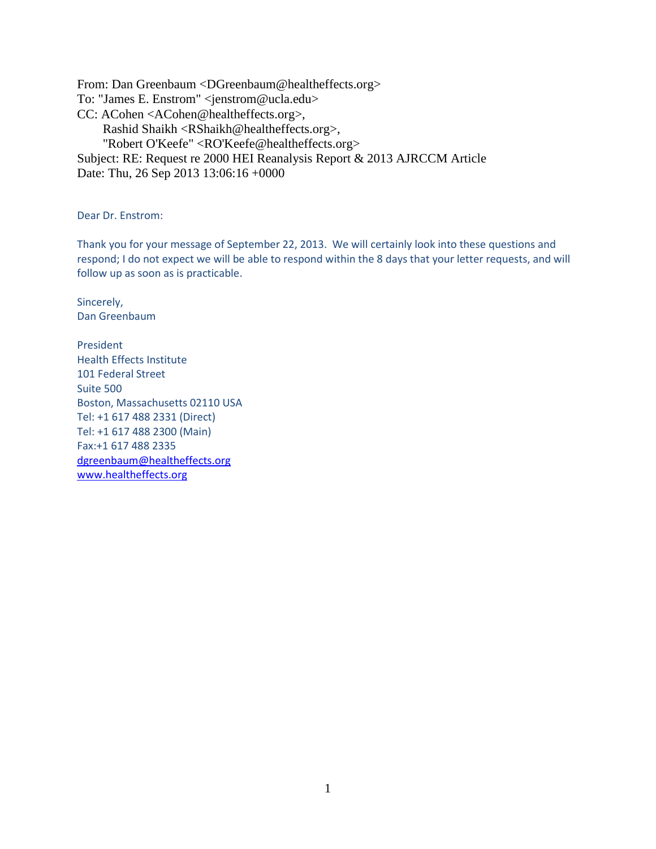From: Dan Greenbaum <DGreenbaum@healtheffects.org> To: "James E. Enstrom" <jenstrom@ucla.edu> CC: ACohen <ACohen@healtheffects.org>, Rashid Shaikh <RShaikh@healtheffects.org>, "Robert O'Keefe" <RO'Keefe@healtheffects.org> Subject: RE: Request re 2000 HEI Reanalysis Report & 2013 AJRCCM Article Date: Thu, 26 Sep 2013 13:06:16 +0000

Dear Dr. Enstrom:

Thank you for your message of September 22, 2013. We will certainly look into these questions and respond; I do not expect we will be able to respond within the 8 days that your letter requests, and will follow up as soon as is practicable.

Sincerely, Dan Greenbaum

President Health Effects Institute 101 Federal Street Suite 500 Boston, Massachusetts 02110 USA Tel: +1 617 488 2331 (Direct) Tel: +1 617 488 2300 (Main) Fax:+1 617 488 2335 [dgreenbaum@healtheffects.org](mailto:dgreenbaum@healtheffects.org) [www.healtheffects.org](http://www.healtheffects.org/)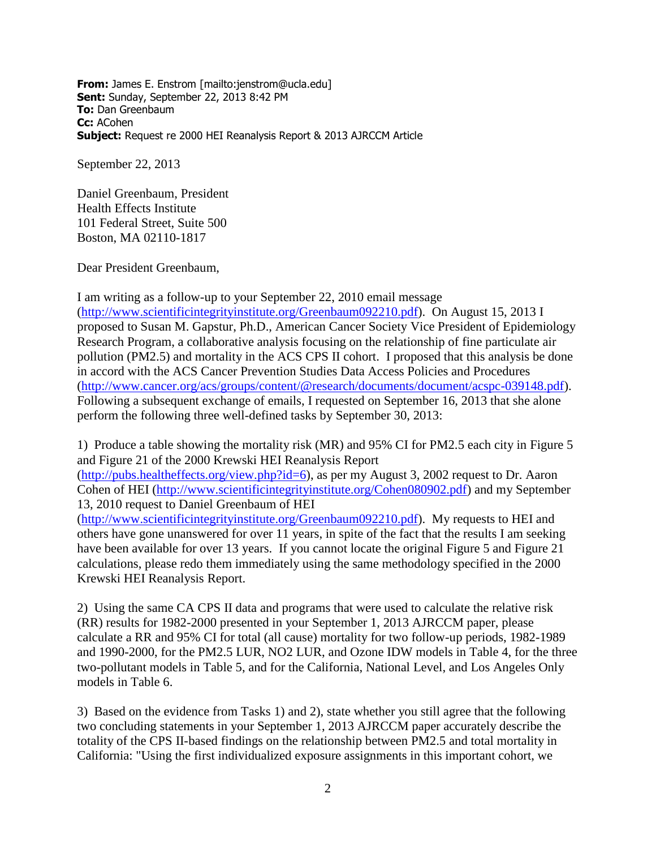**From:** James E. Enstrom [mailto:jenstrom@ucla.edu] **Sent:** Sunday, September 22, 2013 8:42 PM **To:** Dan Greenbaum **Cc:** ACohen **Subject:** Request re 2000 HEI Reanalysis Report & 2013 AJRCCM Article

September 22, 2013

Daniel Greenbaum, President Health Effects Institute 101 Federal Street, Suite 500 Boston, MA 02110-1817

Dear President Greenbaum,

I am writing as a follow-up to your September 22, 2010 email message [\(http://www.scientificintegrityinstitute.org/Greenbaum092210.pdf\)](http://www.scientificintegrityinstitute.org/Greenbaum092210.pdf). On August 15, 2013 I proposed to Susan M. Gapstur, Ph.D., American Cancer Society Vice President of Epidemiology Research Program, a collaborative analysis focusing on the relationship of fine particulate air pollution (PM2.5) and mortality in the ACS CPS II cohort. I proposed that this analysis be done in accord with the ACS Cancer Prevention Studies Data Access Policies and Procedures [\(http://www.cancer.org/acs/groups/content/@research/documents/document/acspc-039148.pdf\)](http://www.cancer.org/acs/groups/content/@research/documents/document/acspc-039148.pdf). Following a subsequent exchange of emails, I requested on September 16, 2013 that she alone perform the following three well-defined tasks by September 30, 2013:

1) Produce a table showing the mortality risk (MR) and 95% CI for PM2.5 each city in Figure 5 and Figure 21 of the 2000 Krewski HEI Reanalysis Report [\(http://pubs.healtheffects.org/view.php?id=6\)](http://pubs.healtheffects.org/view.php?id=6), as per my August 3, 2002 request to Dr. Aaron Cohen of HEI [\(http://www.scientificintegrityinstitute.org/Cohen080902.pdf\)](http://www.scientificintegrityinstitute.org/Cohen080902.pdf) and my September 13, 2010 request to Daniel Greenbaum of HEI [\(http://www.scientificintegrityinstitute.org/Greenbaum092210.pdf\)](http://www.scientificintegrityinstitute.org/Greenbaum092210.pdf). My requests to HEI and others have gone unanswered for over 11 years, in spite of the fact that the results I am seeking have been available for over 13 years. If you cannot locate the original Figure 5 and Figure 21 calculations, please redo them immediately using the same methodology specified in the 2000 Krewski HEI Reanalysis Report.

2) Using the same CA CPS II data and programs that were used to calculate the relative risk (RR) results for 1982-2000 presented in your September 1, 2013 AJRCCM paper, please calculate a RR and 95% CI for total (all cause) mortality for two follow-up periods, 1982-1989 and 1990-2000, for the PM2.5 LUR, NO2 LUR, and Ozone IDW models in Table 4, for the three two-pollutant models in Table 5, and for the California, National Level, and Los Angeles Only models in Table 6.

3) Based on the evidence from Tasks 1) and 2), state whether you still agree that the following two concluding statements in your September 1, 2013 AJRCCM paper accurately describe the totality of the CPS II-based findings on the relationship between PM2.5 and total mortality in California: "Using the first individualized exposure assignments in this important cohort, we